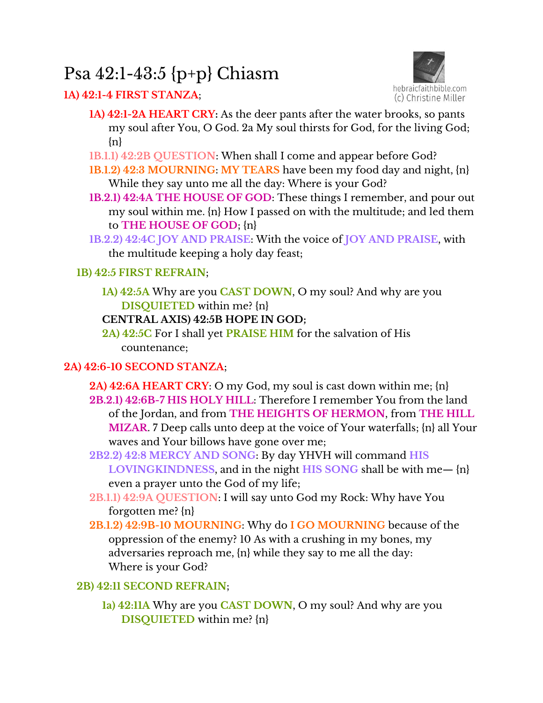# Psa 42:1-43:5 {p+p} Chiasm

# **1A) 42:1-4 FIRST STANZA**;



- **1A) 42:1-2A HEART CRY:** As the deer pants after the water brooks, so pants my soul after You, O God. 2a My soul thirsts for God, for the living God; {n}
- **1B.1.1) 42:2B QUESTION**: When shall I come and appear before God?
- **1B.1.2) 42:3 MOURNING**: **MY TEARS** have been my food day and night, {n} While they say unto me all the day: Where is your God?
- **1B.2.1) 42:4A THE HOUSE OF GOD**: These things I remember, and pour out my soul within me. {n} How I passed on with the multitude; and led them to **THE HOUSE OF GOD**; {n}
- **1B.2.2) 42:4C JOY AND PRAISE**: With the voice of **JOY AND PRAISE**, with the multitude keeping a holy day feast;

## **1B) 42:5 FIRST REFRAIN**;

**1A) 42:5A** Why are you **CAST DOWN**, O my soul? And why are you **DISQUIETED** within me? {n}

## **CENTRAL AXIS) 42:5B HOPE IN GOD;**

**2A) 42:5C** For I shall yet **PRAISE HIM** for the salvation of His countenance;

## **2A) 42:6-10 SECOND STANZA**;

- **2A) 42:6A HEART CRY**: O my God, my soul is cast down within me; {n} **2B.2.1) 42:6B-7 HIS HOLY HILL**: Therefore I remember You from the land of the Jordan, and from **THE HEIGHTS OF HERMON**, from **THE HILL MIZAR**. 7 Deep calls unto deep at the voice of Your waterfalls; {n} all Your waves and Your billows have gone over me;
- **2B2.2) 42:8 MERCY AND SONG**: By day YHVH will command **HIS LOVINGKINDNESS**, and in the night **HIS SONG** shall be with me— {n} even a prayer unto the God of my life;
- **2B.1.1) 42:9A QUESTION**: I will say unto God my Rock: Why have You forgotten me? {n}
- **2B.1.2) 42:9B-10 MOURNING**: Why do **I GO MOURNING** because of the oppression of the enemy? 10 As with a crushing in my bones, my adversaries reproach me, {n} while they say to me all the day: Where is your God?

# **2B) 42:11 SECOND REFRAIN**;

**1a) 42:11A** Why are you **CAST DOWN**, O my soul? And why are you **DISQUIETED** within me? {n}